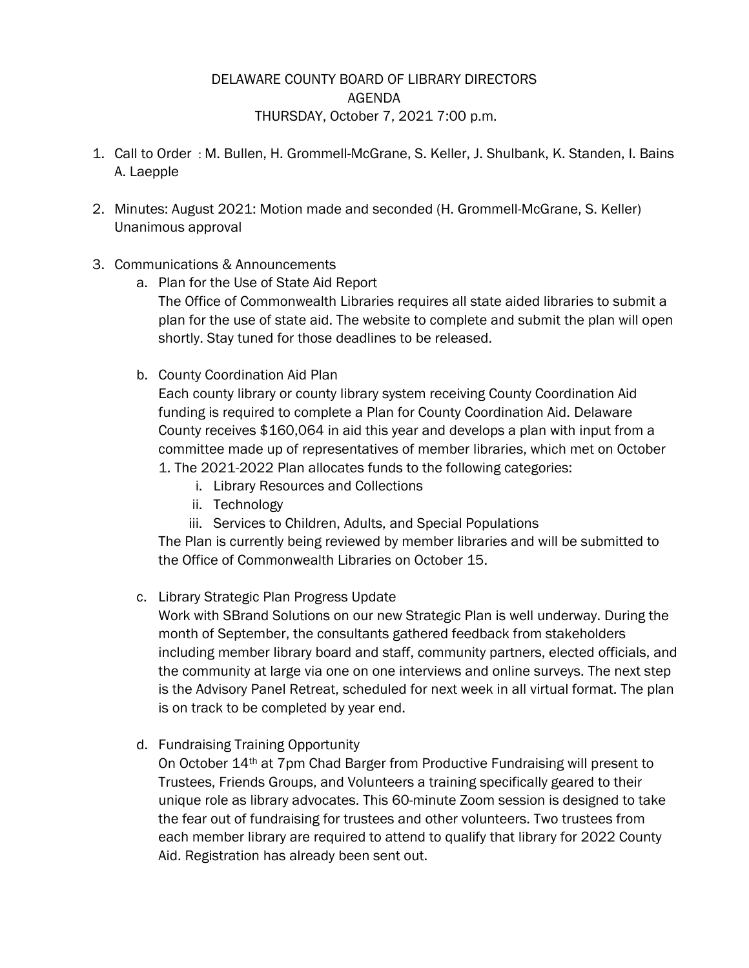## DELAWARE COUNTY BOARD OF LIBRARY DIRECTORS AGENDA THURSDAY, October 7, 2021 7:00 p.m.

- 1. Call to Order : M. Bullen, H. Grommell-McGrane, S. Keller, J. Shulbank, K. Standen, I. Bains A. Laepple
- 2. Minutes: August 2021: Motion made and seconded (H. Grommell-McGrane, S. Keller) Unanimous approval
- 3. Communications & Announcements
	- a. Plan for the Use of State Aid Report

The Office of Commonwealth Libraries requires all state aided libraries to submit a plan for the use of state aid. The website to complete and submit the plan will open shortly. Stay tuned for those deadlines to be released.

b. County Coordination Aid Plan

Each county library or county library system receiving County Coordination Aid funding is required to complete a Plan for County Coordination Aid. Delaware County receives \$160,064 in aid this year and develops a plan with input from a committee made up of representatives of member libraries, which met on October 1. The 2021-2022 Plan allocates funds to the following categories:

- i. Library Resources and Collections
- ii. Technology
- iii. Services to Children, Adults, and Special Populations

The Plan is currently being reviewed by member libraries and will be submitted to the Office of Commonwealth Libraries on October 15.

c. Library Strategic Plan Progress Update

Work with SBrand Solutions on our new Strategic Plan is well underway. During the month of September, the consultants gathered feedback from stakeholders including member library board and staff, community partners, elected officials, and the community at large via one on one interviews and online surveys. The next step is the Advisory Panel Retreat, scheduled for next week in all virtual format. The plan is on track to be completed by year end.

d. Fundraising Training Opportunity

On October 14th at 7pm Chad Barger from Productive Fundraising will present to Trustees, Friends Groups, and Volunteers a training specifically geared to their unique role as library advocates. This 60-minute Zoom session is designed to take the fear out of fundraising for trustees and other volunteers. Two trustees from each member library are required to attend to qualify that library for 2022 County Aid. Registration has already been sent out.